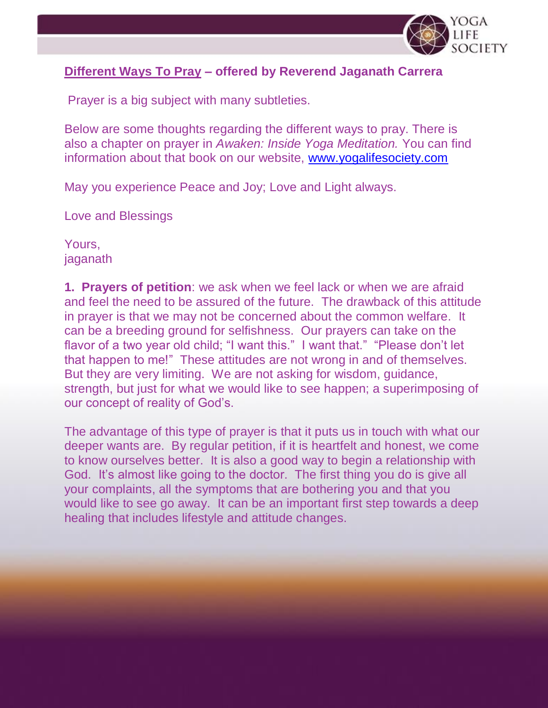

## **Different Ways To Pray – offered by Reverend Jaganath Carrera**

Prayer is a big subject with many subtleties.

Below are some thoughts regarding the different ways to pray. There is also a chapter on prayer in *Awaken: Inside Yoga Meditation.* You can find information about that book on our website, [www.yogalifesociety.com](http://www.yogalifesociety.com/)

May you experience Peace and Joy; Love and Light always.

Love and Blessings

Yours, jaganath

**1. Prayers of petition**: we ask when we feel lack or when we are afraid and feel the need to be assured of the future. The drawback of this attitude in prayer is that we may not be concerned about the common welfare. It can be a breeding ground for selfishness. Our prayers can take on the flavor of a two year old child; "I want this." I want that." "Please don't let that happen to me!" These attitudes are not wrong in and of themselves. But they are very limiting. We are not asking for wisdom, guidance, strength, but just for what we would like to see happen; a superimposing of our concept of reality of God's.

The advantage of this type of prayer is that it puts us in touch with what our deeper wants are. By regular petition, if it is heartfelt and honest, we come to know ourselves better. It is also a good way to begin a relationship with God. It's almost like going to the doctor. The first thing you do is give all your complaints, all the symptoms that are bothering you and that you would like to see go away. It can be an important first step towards a deep healing that includes lifestyle and attitude changes.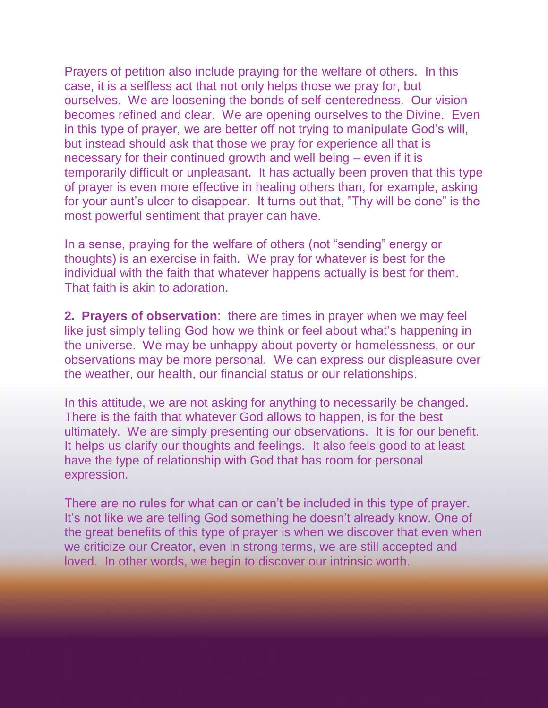Prayers of petition also include praying for the welfare of others. In this case, it is a selfless act that not only helps those we pray for, but ourselves. We are loosening the bonds of self-centeredness. Our vision becomes refined and clear. We are opening ourselves to the Divine. Even in this type of prayer, we are better off not trying to manipulate God's will, but instead should ask that those we pray for experience all that is necessary for their continued growth and well being – even if it is temporarily difficult or unpleasant. It has actually been proven that this type of prayer is even more effective in healing others than, for example, asking for your aunt's ulcer to disappear. It turns out that, "Thy will be done" is the most powerful sentiment that prayer can have.

In a sense, praying for the welfare of others (not "sending" energy or thoughts) is an exercise in faith. We pray for whatever is best for the individual with the faith that whatever happens actually is best for them. That faith is akin to adoration.

**2. Prayers of observation**: there are times in prayer when we may feel like just simply telling God how we think or feel about what's happening in the universe. We may be unhappy about poverty or homelessness, or our observations may be more personal. We can express our displeasure over the weather, our health, our financial status or our relationships.

In this attitude, we are not asking for anything to necessarily be changed. There is the faith that whatever God allows to happen, is for the best ultimately. We are simply presenting our observations. It is for our benefit. It helps us clarify our thoughts and feelings. It also feels good to at least have the type of relationship with God that has room for personal expression.

There are no rules for what can or can't be included in this type of prayer. It's not like we are telling God something he doesn't already know. One of the great benefits of this type of prayer is when we discover that even when we criticize our Creator, even in strong terms, we are still accepted and loved. In other words, we begin to discover our intrinsic worth.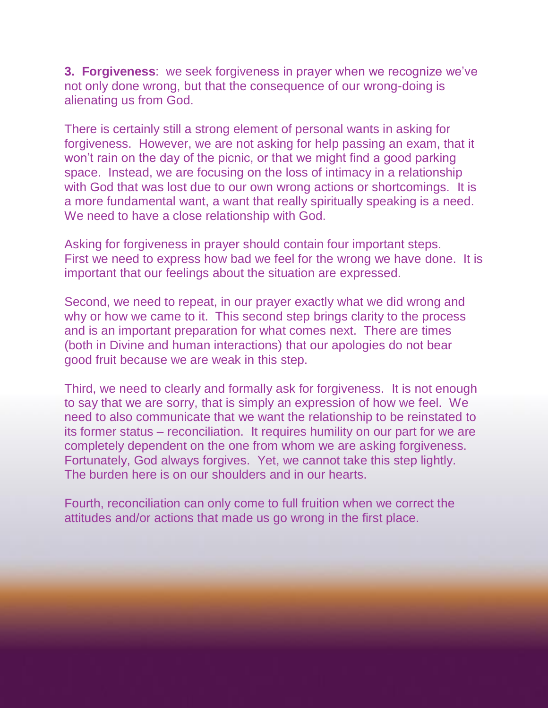**3. Forgiveness**: we seek forgiveness in prayer when we recognize we've not only done wrong, but that the consequence of our wrong-doing is alienating us from God.

There is certainly still a strong element of personal wants in asking for forgiveness. However, we are not asking for help passing an exam, that it won't rain on the day of the picnic, or that we might find a good parking space. Instead, we are focusing on the loss of intimacy in a relationship with God that was lost due to our own wrong actions or shortcomings. It is a more fundamental want, a want that really spiritually speaking is a need. We need to have a close relationship with God.

Asking for forgiveness in prayer should contain four important steps. First we need to express how bad we feel for the wrong we have done. It is important that our feelings about the situation are expressed.

Second, we need to repeat, in our prayer exactly what we did wrong and why or how we came to it. This second step brings clarity to the process and is an important preparation for what comes next. There are times (both in Divine and human interactions) that our apologies do not bear good fruit because we are weak in this step.

Third, we need to clearly and formally ask for forgiveness. It is not enough to say that we are sorry, that is simply an expression of how we feel. We need to also communicate that we want the relationship to be reinstated to its former status – reconciliation. It requires humility on our part for we are completely dependent on the one from whom we are asking forgiveness. Fortunately, God always forgives. Yet, we cannot take this step lightly. The burden here is on our shoulders and in our hearts.

Fourth, reconciliation can only come to full fruition when we correct the attitudes and/or actions that made us go wrong in the first place.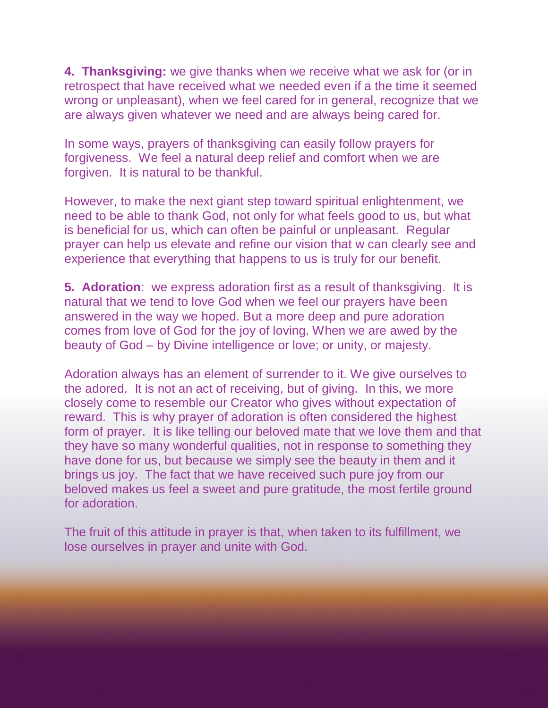**4. Thanksgiving:** we give thanks when we receive what we ask for (or in retrospect that have received what we needed even if a the time it seemed wrong or unpleasant), when we feel cared for in general, recognize that we are always given whatever we need and are always being cared for.

In some ways, prayers of thanksgiving can easily follow prayers for forgiveness. We feel a natural deep relief and comfort when we are forgiven. It is natural to be thankful.

However, to make the next giant step toward spiritual enlightenment, we need to be able to thank God, not only for what feels good to us, but what is beneficial for us, which can often be painful or unpleasant. Regular prayer can help us elevate and refine our vision that w can clearly see and experience that everything that happens to us is truly for our benefit.

**5. Adoration**: we express adoration first as a result of thanksgiving. It is natural that we tend to love God when we feel our prayers have been answered in the way we hoped. But a more deep and pure adoration comes from love of God for the joy of loving. When we are awed by the beauty of God – by Divine intelligence or love; or unity, or majesty.

Adoration always has an element of surrender to it. We give ourselves to the adored. It is not an act of receiving, but of giving. In this, we more closely come to resemble our Creator who gives without expectation of reward. This is why prayer of adoration is often considered the highest form of prayer. It is like telling our beloved mate that we love them and that they have so many wonderful qualities, not in response to something they have done for us, but because we simply see the beauty in them and it brings us joy. The fact that we have received such pure joy from our beloved makes us feel a sweet and pure gratitude, the most fertile ground for adoration.

The fruit of this attitude in prayer is that, when taken to its fulfillment, we lose ourselves in prayer and unite with God.